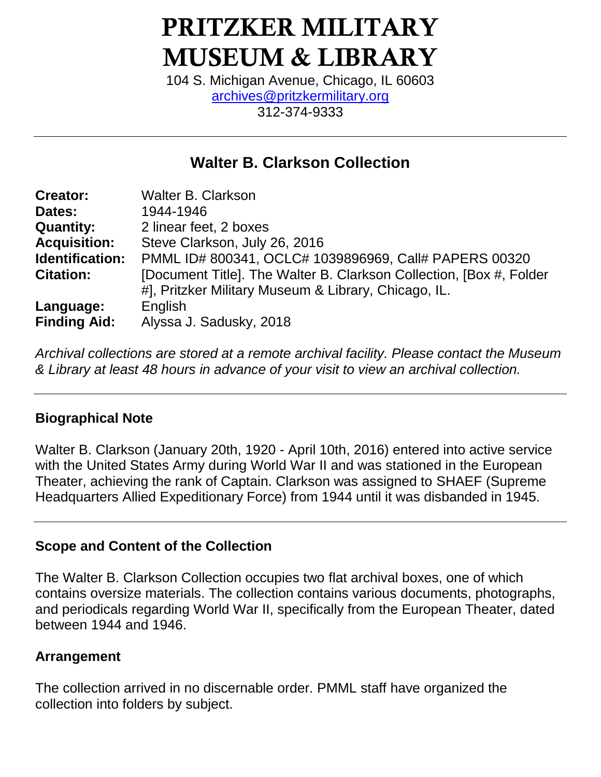# **PRITZKER MILITARY MUSEUM & LIBRARY**

104 S. Michigan Avenue, Chicago, IL 60603 [archives@pritzkermilitary.org](mailto:archives@pritzkermilitary.org) 312-374-9333

# **Walter B. Clarkson Collection**

| <b>Creator:</b>     | <b>Walter B. Clarkson</b>                                           |
|---------------------|---------------------------------------------------------------------|
| Dates:              | 1944-1946                                                           |
| <b>Quantity:</b>    | 2 linear feet, 2 boxes                                              |
| <b>Acquisition:</b> | Steve Clarkson, July 26, 2016                                       |
| Identification:     | PMML ID# 800341, OCLC# 1039896969, Call# PAPERS 00320               |
| <b>Citation:</b>    | [Document Title]. The Walter B. Clarkson Collection, [Box #, Folder |
|                     | #], Pritzker Military Museum & Library, Chicago, IL.                |
| Language:           | English                                                             |
| <b>Finding Aid:</b> | Alyssa J. Sadusky, 2018                                             |

*Archival collections are stored at a remote archival facility. Please contact the Museum & Library at least 48 hours in advance of your visit to view an archival collection.*

## **Biographical Note**

Walter B. Clarkson (January 20th, 1920 - April 10th, 2016) entered into active service with the United States Army during World War II and was stationed in the European Theater, achieving the rank of Captain. Clarkson was assigned to SHAEF (Supreme Headquarters Allied Expeditionary Force) from 1944 until it was disbanded in 1945.

## **Scope and Content of the Collection**

The Walter B. Clarkson Collection occupies two flat archival boxes, one of which contains oversize materials. The collection contains various documents, photographs, and periodicals regarding World War II, specifically from the European Theater, dated between 1944 and 1946.

## **Arrangement**

The collection arrived in no discernable order. PMML staff have organized the collection into folders by subject.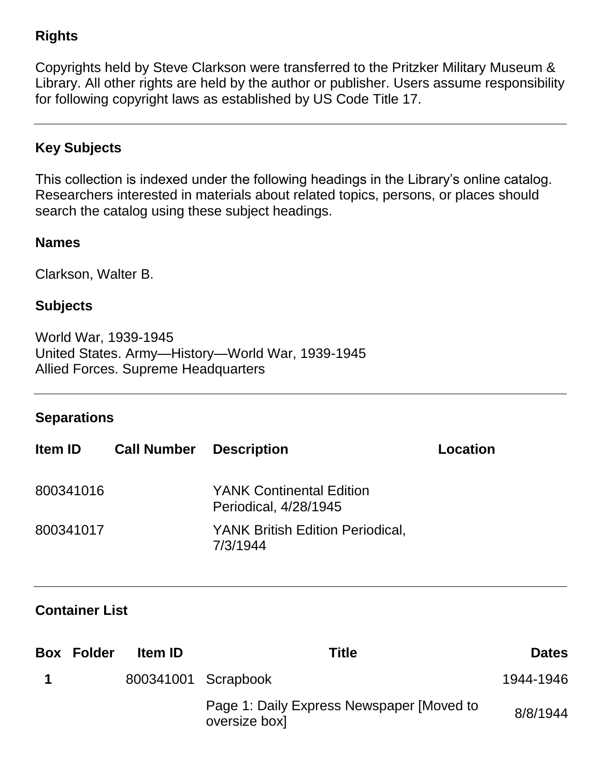# **Rights**

Copyrights held by Steve Clarkson were transferred to the Pritzker Military Museum & Library. All other rights are held by the author or publisher. Users assume responsibility for following copyright laws as established by US Code Title 17.

## **Key Subjects**

This collection is indexed under the following headings in the Library's online catalog. Researchers interested in materials about related topics, persons, or places should search the catalog using these subject headings.

## **Names**

Clarkson, Walter B.

## **Subjects**

World War, 1939-1945 United States. Army—History—World War, 1939-1945 Allied Forces. Supreme Headquarters

## **Separations**

| <b>Item ID</b> | <b>Call Number</b> | <b>Description</b>                                       | Location |
|----------------|--------------------|----------------------------------------------------------|----------|
| 800341016      |                    | <b>YANK Continental Edition</b><br>Periodical, 4/28/1945 |          |
| 800341017      |                    | <b>YANK British Edition Periodical,</b><br>7/3/1944      |          |

## **Container List**

| <b>Box Folder</b> | <b>Item ID</b>      | Title                                                      | <b>Dates</b> |
|-------------------|---------------------|------------------------------------------------------------|--------------|
|                   | 800341001 Scrapbook |                                                            | 1944-1946    |
|                   |                     | Page 1: Daily Express Newspaper [Moved to<br>oversize box] | 8/8/1944     |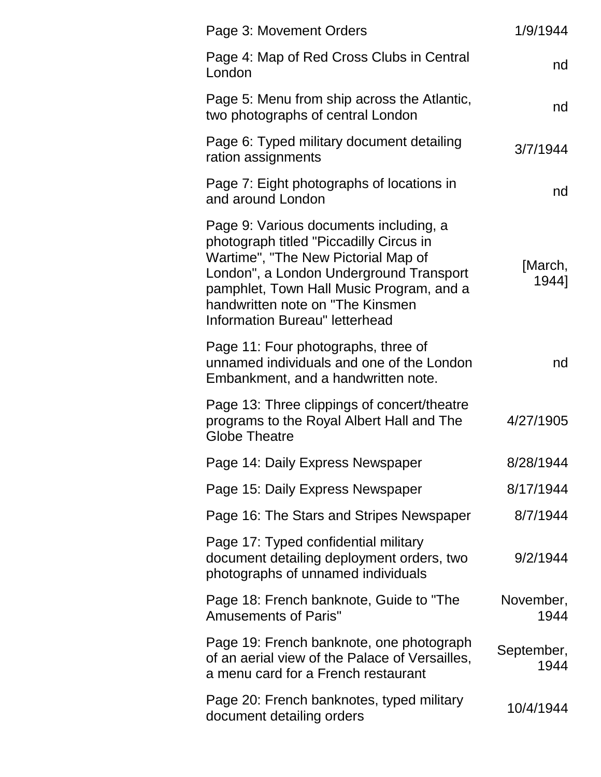| Page 3: Movement Orders                                                                                                                                                                                                                                                               | 1/9/1944           |
|---------------------------------------------------------------------------------------------------------------------------------------------------------------------------------------------------------------------------------------------------------------------------------------|--------------------|
| Page 4: Map of Red Cross Clubs in Central<br>London                                                                                                                                                                                                                                   | nd                 |
| Page 5: Menu from ship across the Atlantic,<br>two photographs of central London                                                                                                                                                                                                      | nd                 |
| Page 6: Typed military document detailing<br>ration assignments                                                                                                                                                                                                                       | 3/7/1944           |
| Page 7: Eight photographs of locations in<br>and around London                                                                                                                                                                                                                        | nd                 |
| Page 9: Various documents including, a<br>photograph titled "Piccadilly Circus in<br>Wartime", "The New Pictorial Map of<br>London", a London Underground Transport<br>pamphlet, Town Hall Music Program, and a<br>handwritten note on "The Kinsmen<br>Information Bureau" letterhead | [March,<br>1944]   |
| Page 11: Four photographs, three of<br>unnamed individuals and one of the London<br>Embankment, and a handwritten note.                                                                                                                                                               | nd                 |
| Page 13: Three clippings of concert/theatre<br>programs to the Royal Albert Hall and The<br><b>Globe Theatre</b>                                                                                                                                                                      | 4/27/1905          |
| Page 14: Daily Express Newspaper                                                                                                                                                                                                                                                      | 8/28/1944          |
| Page 15: Daily Express Newspaper                                                                                                                                                                                                                                                      | 8/17/1944          |
| Page 16: The Stars and Stripes Newspaper                                                                                                                                                                                                                                              | 8/7/1944           |
| Page 17: Typed confidential military<br>document detailing deployment orders, two<br>photographs of unnamed individuals                                                                                                                                                               | 9/2/1944           |
| Page 18: French banknote, Guide to "The<br><b>Amusements of Paris"</b>                                                                                                                                                                                                                | November,<br>1944  |
| Page 19: French banknote, one photograph<br>of an aerial view of the Palace of Versailles,<br>a menu card for a French restaurant                                                                                                                                                     | September,<br>1944 |
| Page 20: French banknotes, typed military<br>document detailing orders                                                                                                                                                                                                                | 10/4/1944          |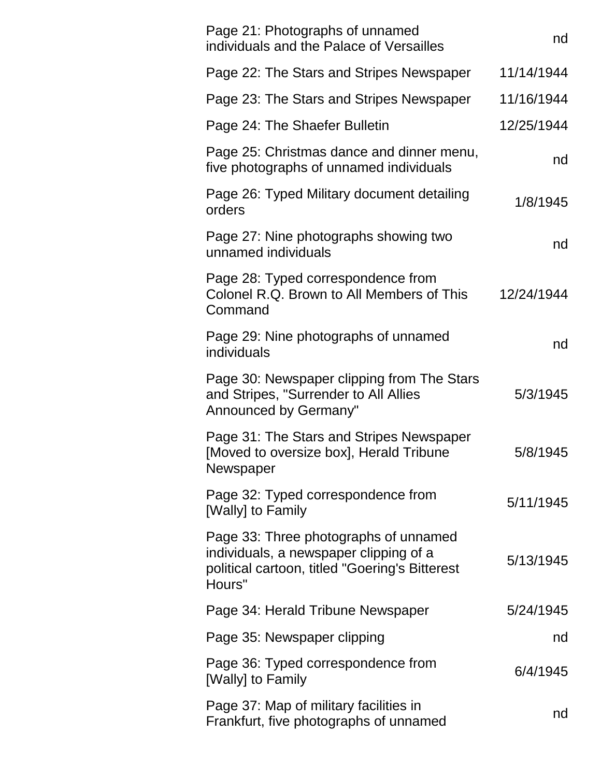| Page 21: Photographs of unnamed<br>individuals and the Palace of Versailles                                                                 | nd         |
|---------------------------------------------------------------------------------------------------------------------------------------------|------------|
| Page 22: The Stars and Stripes Newspaper                                                                                                    | 11/14/1944 |
| Page 23: The Stars and Stripes Newspaper                                                                                                    | 11/16/1944 |
| Page 24: The Shaefer Bulletin                                                                                                               | 12/25/1944 |
| Page 25: Christmas dance and dinner menu,<br>five photographs of unnamed individuals                                                        | nd         |
| Page 26: Typed Military document detailing<br>orders                                                                                        | 1/8/1945   |
| Page 27: Nine photographs showing two<br>unnamed individuals                                                                                | nd         |
| Page 28: Typed correspondence from<br>Colonel R.Q. Brown to All Members of This<br>Command                                                  | 12/24/1944 |
| Page 29: Nine photographs of unnamed<br>individuals                                                                                         | nd         |
| Page 30: Newspaper clipping from The Stars<br>and Stripes, "Surrender to All Allies<br>Announced by Germany"                                | 5/3/1945   |
| Page 31: The Stars and Stripes Newspaper<br>[Moved to oversize box], Herald Tribune<br>Newspaper                                            | 5/8/1945   |
| Page 32: Typed correspondence from<br>[Wally] to Family                                                                                     | 5/11/1945  |
| Page 33: Three photographs of unnamed<br>individuals, a newspaper clipping of a<br>political cartoon, titled "Goering's Bitterest<br>Hours" | 5/13/1945  |
| Page 34: Herald Tribune Newspaper                                                                                                           | 5/24/1945  |
| Page 35: Newspaper clipping                                                                                                                 | nd         |
| Page 36: Typed correspondence from<br>[Wally] to Family                                                                                     | 6/4/1945   |
| Page 37: Map of military facilities in<br>Frankfurt, five photographs of unnamed                                                            | nd         |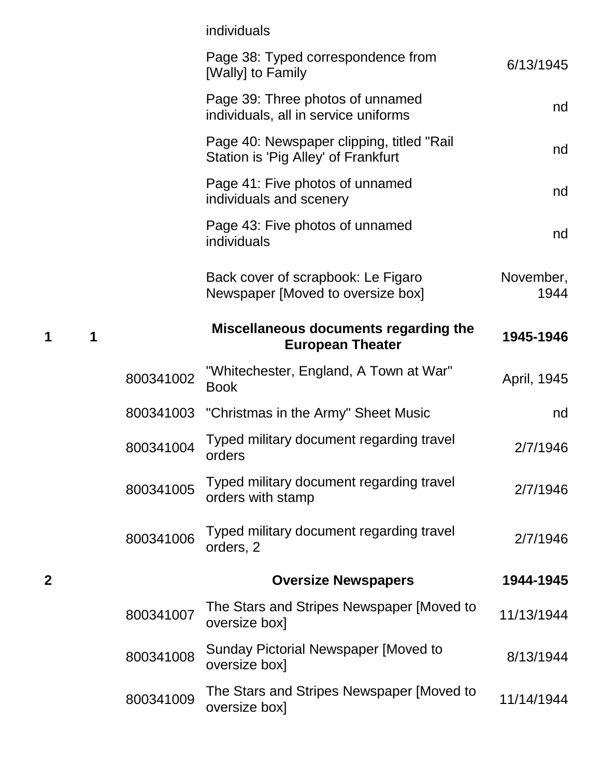|                  |   |           | individuals                                                                      |                   |
|------------------|---|-----------|----------------------------------------------------------------------------------|-------------------|
|                  |   |           | Page 38: Typed correspondence from<br>[Wally] to Family                          | 6/13/1945         |
|                  |   |           | Page 39: Three photos of unnamed<br>individuals, all in service uniforms         | nd                |
|                  |   |           | Page 40: Newspaper clipping, titled "Rail<br>Station is 'Pig Alley' of Frankfurt | nd                |
|                  |   |           | Page 41: Five photos of unnamed<br>individuals and scenery                       | nd                |
|                  |   |           | Page 43: Five photos of unnamed<br>individuals                                   | nd                |
|                  |   |           | Back cover of scrapbook: Le Figaro<br>Newspaper [Moved to oversize box]          | November,<br>1944 |
| 1                | 1 |           | Miscellaneous documents regarding the<br><b>European Theater</b>                 | 1945-1946         |
|                  |   | 800341002 | "Whitechester, England, A Town at War"<br><b>Book</b>                            | April, 1945       |
|                  |   |           | 800341003 "Christmas in the Army" Sheet Music                                    | nd                |
|                  |   | 800341004 | Typed military document regarding travel<br>orders                               | 2/7/1946          |
|                  |   | 800341005 | Typed military document regarding travel<br>orders with stamp                    | 2/7/1946          |
|                  |   | 800341006 | Typed military document regarding travel<br>orders, 2                            | 2/7/1946          |
| $\boldsymbol{2}$ |   |           | <b>Oversize Newspapers</b>                                                       | 1944-1945         |
|                  |   | 800341007 | The Stars and Stripes Newspaper [Moved to<br>oversize box]                       | 11/13/1944        |
|                  |   | 800341008 | Sunday Pictorial Newspaper [Moved to<br>oversize box]                            | 8/13/1944         |
|                  |   | 800341009 | The Stars and Stripes Newspaper [Moved to<br>oversize box]                       | 11/14/1944        |